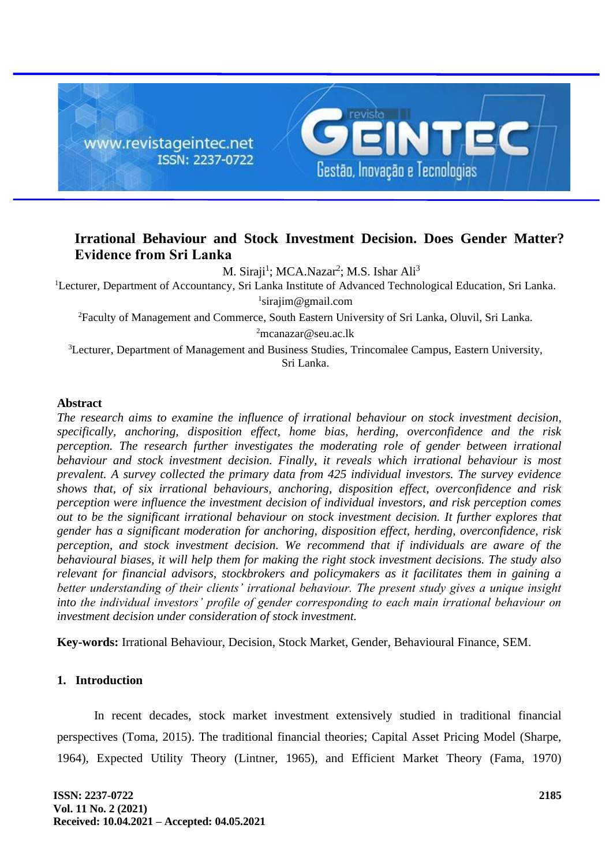

# **Irrational Behaviour and Stock Investment Decision. Does Gender Matter? Evidence from Sri Lanka**

M. Siraji<sup>1</sup>; MCA.Nazar<sup>2</sup>; M.S. Ishar Ali<sup>3</sup>

<sup>1</sup>Lecturer, Department of Accountancy, Sri Lanka Institute of Advanced Technological Education, [Sri Lanka.](https://en.wikipedia.org/wiki/Sri_Lanka_Institute_of_Advanced_Technological_Education) 1 [sirajim@gmail.com](mailto:sirajim@gmail.com)

<sup>2</sup>Faculty of Management and Commerce, South Eastern University of Sri Lanka, Oluvil, Sri Lanka.

<sup>2</sup>[mcanazar@seu.ac.lk](mailto:mcanazar@seu.ac.lk)

<sup>3</sup>Lecturer, Department of Management and Business Studies, Trincomalee Campus, Eastern University, Sri Lanka.

### **Abstract**

*The research aims to examine the influence of irrational behaviour on stock investment decision, specifically, anchoring, disposition effect, home bias, herding, overconfidence and the risk perception. The research further investigates the moderating role of gender between irrational behaviour and stock investment decision. Finally, it reveals which irrational behaviour is most prevalent. A survey collected the primary data from 425 individual investors. The survey evidence shows that, of six irrational behaviours, anchoring, disposition effect, overconfidence and risk perception were influence the investment decision of individual investors, and risk perception comes out to be the significant irrational behaviour on stock investment decision. It further explores that gender has a significant moderation for anchoring, disposition effect, herding, overconfidence, risk perception, and stock investment decision. We recommend that if individuals are aware of the behavioural biases, it will help them for making the right stock investment decisions. The study also relevant for financial advisors, stockbrokers and policymakers as it facilitates them in gaining a better understanding of their clients' irrational behaviour. The present study gives a unique insight into the individual investors' profile of gender corresponding to each main irrational behaviour on investment decision under consideration of stock investment.*

**Key-words:** Irrational Behaviour, Decision, Stock Market, Gender, Behavioural Finance, SEM.

### **1. Introduction**

In recent decades, stock market investment extensively studied in traditional financial perspectives (Toma, 2015). The traditional financial theories; Capital Asset Pricing Model (Sharpe, 1964), Expected Utility Theory (Lintner, 1965), and Efficient Market Theory (Fama, 1970)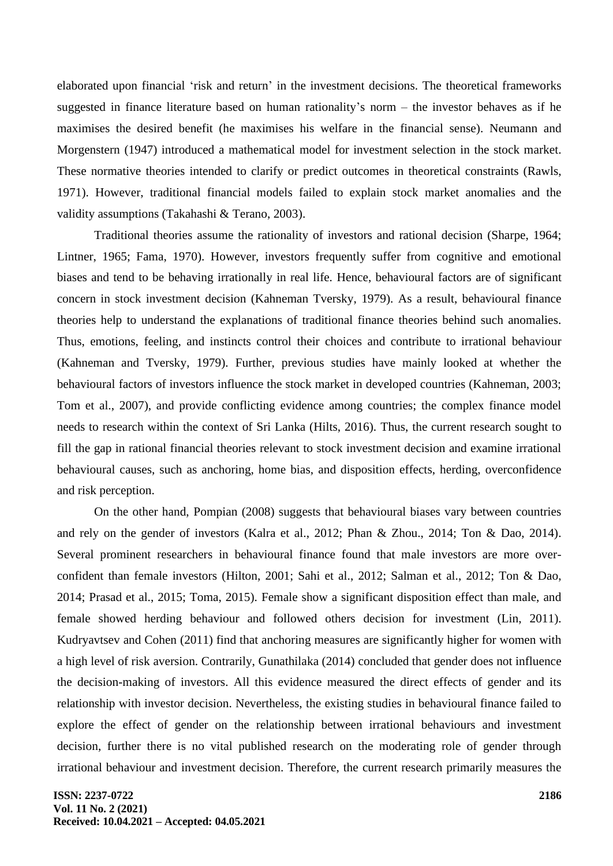elaborated upon financial 'risk and return' in the investment decisions. The theoretical frameworks suggested in finance literature based on human rationality's norm – the investor behaves as if he maximises the desired benefit (he maximises his welfare in the financial sense). Neumann and Morgenstern (1947) introduced a mathematical model for investment selection in the stock market. These normative theories intended to clarify or predict outcomes in theoretical constraints (Rawls, 1971). However, traditional financial models failed to explain stock market anomalies and the validity assumptions (Takahashi & Terano, 2003).

Traditional theories assume the rationality of investors and rational decision (Sharpe, 1964; Lintner, 1965; Fama, 1970). However, investors frequently suffer from cognitive and emotional biases and tend to be behaving irrationally in real life. Hence, behavioural factors are of significant concern in stock investment decision (Kahneman Tversky, 1979). As a result, behavioural finance theories help to understand the explanations of traditional finance theories behind such anomalies. Thus, emotions, feeling, and instincts control their choices and contribute to irrational behaviour (Kahneman and Tversky, 1979). Further, previous studies have mainly looked at whether the behavioural factors of investors influence the stock market in developed countries (Kahneman, 2003; Tom et al., 2007), and provide conflicting evidence among countries; the complex finance model needs to research within the context of Sri Lanka (Hilts, 2016). Thus, the current research sought to fill the gap in rational financial theories relevant to stock investment decision and examine irrational behavioural causes, such as anchoring, home bias, and disposition effects, herding, overconfidence and risk perception.

On the other hand, Pompian (2008) suggests that behavioural biases vary between countries and rely on the gender of investors (Kalra et al., 2012; Phan & Zhou., 2014; Ton & Dao, 2014). Several prominent researchers in behavioural finance found that male investors are more overconfident than female investors (Hilton, 2001; Sahi et al., 2012; Salman et al., 2012; Ton & Dao, 2014; Prasad et al., 2015; Toma, 2015). Female show a significant disposition effect than male, and female showed herding behaviour and followed others decision for investment (Lin, 2011). Kudryavtsev and Cohen (2011) find that anchoring measures are significantly higher for women with a high level of risk aversion. Contrarily, Gunathilaka (2014) concluded that gender does not influence the decision-making of investors. All this evidence measured the direct effects of gender and its relationship with investor decision. Nevertheless, the existing studies in behavioural finance failed to explore the effect of gender on the relationship between irrational behaviours and investment decision, further there is no vital published research on the moderating role of gender through irrational behaviour and investment decision. Therefore, the current research primarily measures the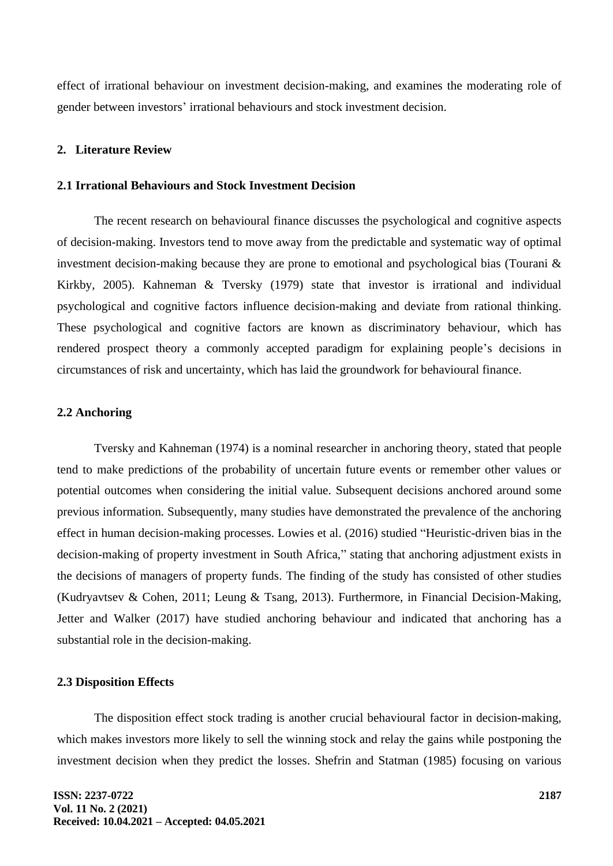effect of irrational behaviour on investment decision-making, and examines the moderating role of gender between investors' irrational behaviours and stock investment decision.

#### **2. Literature Review**

#### **2.1 Irrational Behaviours and Stock Investment Decision**

The recent research on behavioural finance discusses the psychological and cognitive aspects of decision-making. Investors tend to move away from the predictable and systematic way of optimal investment decision-making because they are prone to emotional and psychological bias (Tourani & Kirkby, 2005). Kahneman & Tversky (1979) state that investor is irrational and individual psychological and cognitive factors influence decision-making and deviate from rational thinking. These psychological and cognitive factors are known as discriminatory behaviour, which has rendered prospect theory a commonly accepted paradigm for explaining people's decisions in circumstances of risk and uncertainty, which has laid the groundwork for behavioural finance.

#### **2.2 Anchoring**

Tversky and Kahneman (1974) is a nominal researcher in anchoring theory, stated that people tend to make predictions of the probability of uncertain future events or remember other values or potential outcomes when considering the initial value. Subsequent decisions anchored around some previous information. Subsequently, many studies have demonstrated the prevalence of the anchoring effect in human decision-making processes. Lowies et al. (2016) studied "Heuristic-driven bias in the decision-making of property investment in South Africa," stating that anchoring adjustment exists in the decisions of managers of property funds. The finding of the study has consisted of other studies (Kudryavtsev & Cohen, 2011; Leung & Tsang, 2013). Furthermore, in Financial Decision-Making, Jetter and Walker (2017) have studied anchoring behaviour and indicated that anchoring has a substantial role in the decision-making.

#### **2.3 Disposition Effects**

The disposition effect stock trading is another crucial behavioural factor in decision-making, which makes investors more likely to sell the winning stock and relay the gains while postponing the investment decision when they predict the losses. Shefrin and Statman (1985) focusing on various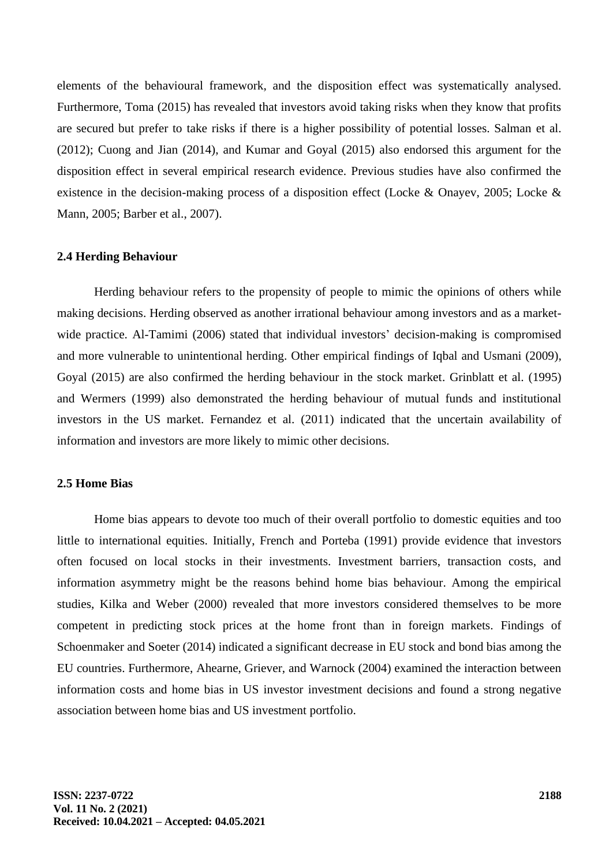elements of the behavioural framework, and the disposition effect was systematically analysed. Furthermore, Toma (2015) has revealed that investors avoid taking risks when they know that profits are secured but prefer to take risks if there is a higher possibility of potential losses. Salman et al. (2012); Cuong and Jian (2014), and Kumar and Goyal (2015) also endorsed this argument for the disposition effect in several empirical research evidence. Previous studies have also confirmed the existence in the decision-making process of a disposition effect (Locke & Onayev, 2005; Locke & Mann, 2005; Barber et al., 2007).

#### **2.4 Herding Behaviour**

Herding behaviour refers to the propensity of people to mimic the opinions of others while making decisions. Herding observed as another irrational behaviour among investors and as a marketwide practice. Al-Tamimi (2006) stated that individual investors' decision-making is compromised and more vulnerable to unintentional herding. Other empirical findings of Iqbal and Usmani (2009), Goyal (2015) are also confirmed the herding behaviour in the stock market. Grinblatt et al. (1995) and Wermers (1999) also demonstrated the herding behaviour of mutual funds and institutional investors in the US market. Fernandez et al. (2011) indicated that the uncertain availability of information and investors are more likely to mimic other decisions.

### **2.5 Home Bias**

Home bias appears to devote too much of their overall portfolio to domestic equities and too little to international equities. Initially, French and Porteba (1991) provide evidence that investors often focused on local stocks in their investments. Investment barriers, transaction costs, and information asymmetry might be the reasons behind home bias behaviour. Among the empirical studies, Kilka and Weber (2000) revealed that more investors considered themselves to be more competent in predicting stock prices at the home front than in foreign markets. Findings of Schoenmaker and Soeter (2014) indicated a significant decrease in EU stock and bond bias among the EU countries. Furthermore, Ahearne, Griever, and Warnock (2004) examined the interaction between information costs and home bias in US investor investment decisions and found a strong negative association between home bias and US investment portfolio.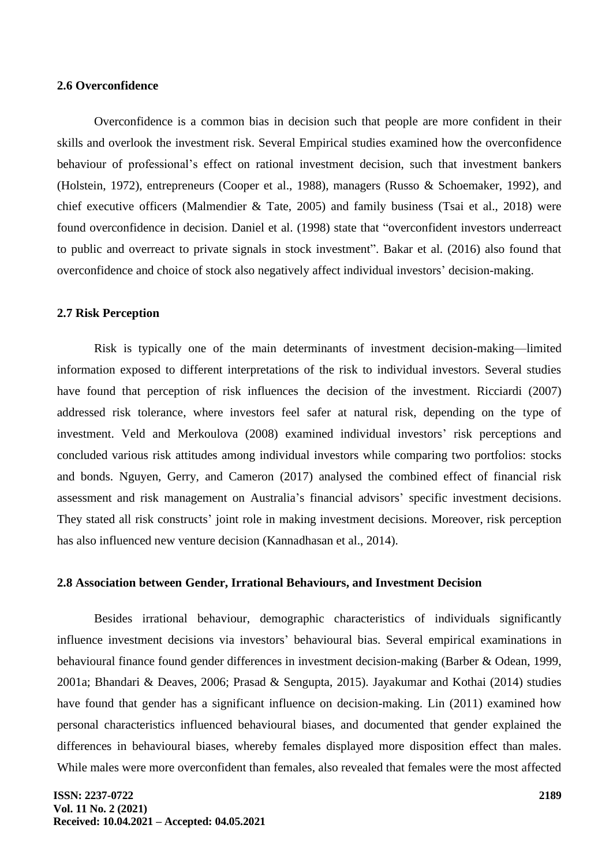#### **2.6 Overconfidence**

Overconfidence is a common bias in decision such that people are more confident in their skills and overlook the investment risk. Several Empirical studies examined how the overconfidence behaviour of professional's effect on rational investment decision, such that investment bankers (Holstein, 1972), entrepreneurs (Cooper et al., 1988), managers (Russo & Schoemaker, 1992), and chief executive officers (Malmendier & Tate, 2005) and family business (Tsai et al., 2018) were found overconfidence in decision. Daniel et al. (1998) state that "overconfident investors underreact to public and overreact to private signals in stock investment". Bakar et al. (2016) also found that overconfidence and choice of stock also negatively affect individual investors' decision-making.

### **2.7 Risk Perception**

Risk is typically one of the main determinants of investment decision-making—limited information exposed to different interpretations of the risk to individual investors. Several studies have found that perception of risk influences the decision of the investment. Ricciardi (2007) addressed risk tolerance, where investors feel safer at natural risk, depending on the type of investment. Veld and Merkoulova (2008) examined individual investors' risk perceptions and concluded various risk attitudes among individual investors while comparing two portfolios: stocks and bonds. Nguyen, Gerry, and Cameron (2017) analysed the combined effect of financial risk assessment and risk management on Australia's financial advisors' specific investment decisions. They stated all risk constructs' joint role in making investment decisions. Moreover, risk perception has also influenced new venture decision (Kannadhasan et al., 2014).

#### **2.8 Association between Gender, Irrational Behaviours, and Investment Decision**

Besides irrational behaviour, demographic characteristics of individuals significantly influence investment decisions via investors' behavioural bias. Several empirical examinations in behavioural finance found gender differences in investment decision-making (Barber & Odean, 1999, 2001a; Bhandari & Deaves, 2006; Prasad & Sengupta, 2015). Jayakumar and Kothai (2014) studies have found that gender has a significant influence on decision-making. Lin (2011) examined how personal characteristics influenced behavioural biases, and documented that gender explained the differences in behavioural biases, whereby females displayed more disposition effect than males. While males were more overconfident than females, also revealed that females were the most affected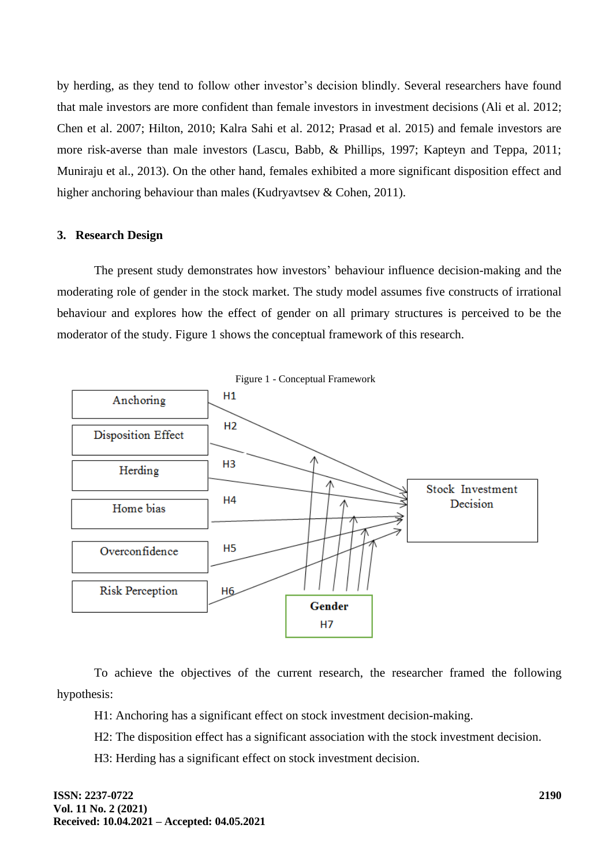by herding, as they tend to follow other investor's decision blindly. Several researchers have found that male investors are more confident than female investors in investment decisions (Ali et al. 2012; Chen et al. 2007; Hilton, 2010; Kalra Sahi et al. 2012; Prasad et al. 2015) and female investors are more risk-averse than male investors (Lascu, Babb, & Phillips, 1997; Kapteyn and Teppa, 2011; Muniraju et al., 2013). On the other hand, females exhibited a more significant disposition effect and higher anchoring behaviour than males (Kudryavtsev & Cohen, 2011).

### **3. Research Design**

The present study demonstrates how investors' behaviour influence decision-making and the moderating role of gender in the stock market. The study model assumes five constructs of irrational behaviour and explores how the effect of gender on all primary structures is perceived to be the moderator of the study. Figure 1 shows the conceptual framework of this research.



To achieve the objectives of the current research, the researcher framed the following hypothesis:

H1: Anchoring has a significant effect on stock investment decision-making.

H2: The disposition effect has a significant association with the stock investment decision.

H3: Herding has a significant effect on stock investment decision.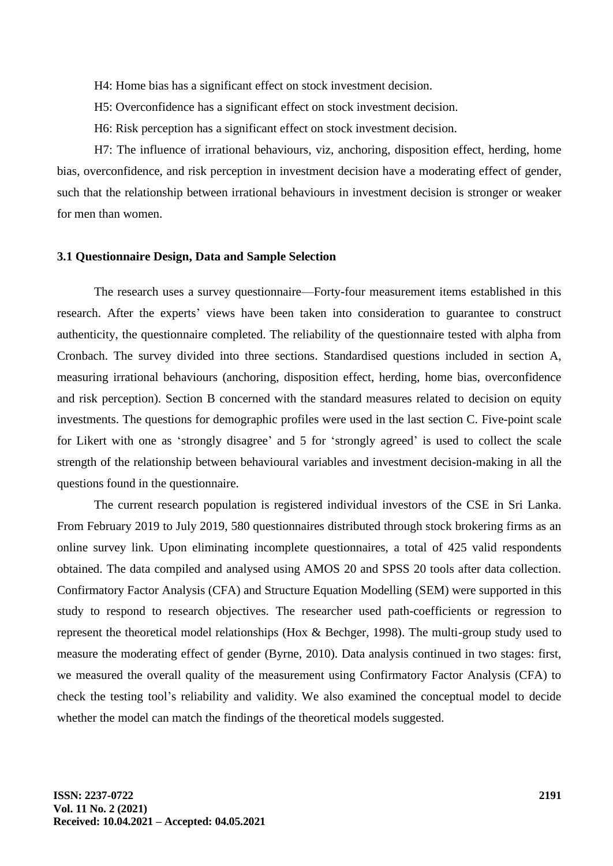- H4: Home bias has a significant effect on stock investment decision.
- H5: Overconfidence has a significant effect on stock investment decision.
- H6: Risk perception has a significant effect on stock investment decision.

H7: The influence of irrational behaviours, viz, anchoring, disposition effect, herding, home bias, overconfidence, and risk perception in investment decision have a moderating effect of gender, such that the relationship between irrational behaviours in investment decision is stronger or weaker for men than women.

#### **3.1 Questionnaire Design, Data and Sample Selection**

The research uses a survey questionnaire—Forty-four measurement items established in this research. After the experts' views have been taken into consideration to guarantee to construct authenticity, the questionnaire completed. The reliability of the questionnaire tested with alpha from Cronbach. The survey divided into three sections. Standardised questions included in section A, measuring irrational behaviours (anchoring, disposition effect, herding, home bias, overconfidence and risk perception). Section B concerned with the standard measures related to decision on equity investments. The questions for demographic profiles were used in the last section C. Five-point scale for Likert with one as 'strongly disagree' and 5 for 'strongly agreed' is used to collect the scale strength of the relationship between behavioural variables and investment decision-making in all the questions found in the questionnaire.

The current research population is registered individual investors of the CSE in Sri Lanka. From February 2019 to July 2019, 580 questionnaires distributed through stock brokering firms as an online survey link. Upon eliminating incomplete questionnaires, a total of 425 valid respondents obtained. The data compiled and analysed using AMOS 20 and SPSS 20 tools after data collection. Confirmatory Factor Analysis (CFA) and Structure Equation Modelling (SEM) were supported in this study to respond to research objectives. The researcher used path-coefficients or regression to represent the theoretical model relationships (Hox & Bechger, 1998). The multi-group study used to measure the moderating effect of gender (Byrne, 2010). Data analysis continued in two stages: first, we measured the overall quality of the measurement using Confirmatory Factor Analysis (CFA) to check the testing tool's reliability and validity. We also examined the conceptual model to decide whether the model can match the findings of the theoretical models suggested.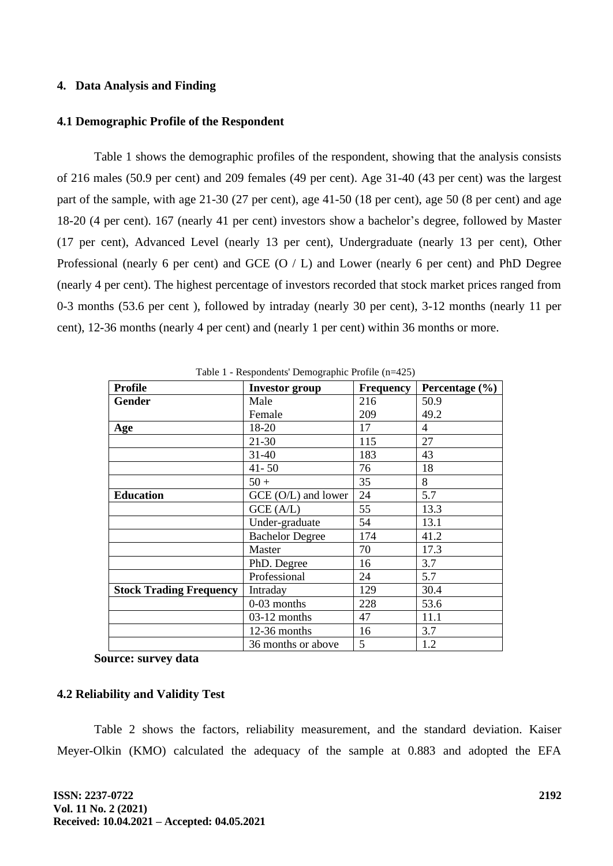### **4. Data Analysis and Finding**

### **4.1 Demographic Profile of the Respondent**

Table 1 shows the demographic profiles of the respondent, showing that the analysis consists of 216 males (50.9 per cent) and 209 females (49 per cent). Age 31-40 (43 per cent) was the largest part of the sample, with age 21-30 (27 per cent), age 41-50 (18 per cent), age 50 (8 per cent) and age 18-20 (4 per cent). 167 (nearly 41 per cent) investors show a bachelor's degree, followed by Master (17 per cent), Advanced Level (nearly 13 per cent), Undergraduate (nearly 13 per cent), Other Professional (nearly 6 per cent) and GCE (O / L) and Lower (nearly 6 per cent) and PhD Degree (nearly 4 per cent). The highest percentage of investors recorded that stock market prices ranged from 0-3 months (53.6 per cent ), followed by intraday (nearly 30 per cent), 3-12 months (nearly 11 per cent), 12-36 months (nearly 4 per cent) and (nearly 1 per cent) within 36 months or more.

| <b>Profile</b>                 | <b>Investor</b> group  | Frequency | Percentage $(\% )$ |  |  |  |  |  |
|--------------------------------|------------------------|-----------|--------------------|--|--|--|--|--|
| <b>Gender</b>                  | Male                   | 216       | 50.9               |  |  |  |  |  |
|                                | Female                 | 209       | 49.2               |  |  |  |  |  |
| Age                            | 18-20                  | 17        | $\overline{4}$     |  |  |  |  |  |
|                                | $21 - 30$              | 115       | 27                 |  |  |  |  |  |
|                                | $31 - 40$              | 183       | 43                 |  |  |  |  |  |
|                                | $41 - 50$              | 76        | 18                 |  |  |  |  |  |
|                                | $50 +$                 | 35        | 8                  |  |  |  |  |  |
| <b>Education</b>               | GCE (O/L) and lower    | 24        | 5.7                |  |  |  |  |  |
|                                | GCE (A/L)              | 55        | 13.3               |  |  |  |  |  |
|                                | Under-graduate         | 54        | 13.1               |  |  |  |  |  |
|                                | <b>Bachelor Degree</b> | 174       | 41.2               |  |  |  |  |  |
|                                | Master                 | 70        | 17.3               |  |  |  |  |  |
|                                | PhD. Degree            | 16        | 3.7                |  |  |  |  |  |
|                                | Professional           | 24        | 5.7                |  |  |  |  |  |
| <b>Stock Trading Frequency</b> | Intraday               | 129       | 30.4               |  |  |  |  |  |
|                                | 0-03 months            | 228       | 53.6               |  |  |  |  |  |
|                                | 03-12 months           | 47        | 11.1               |  |  |  |  |  |
|                                | 12-36 months           | 16        | 3.7                |  |  |  |  |  |
|                                | 36 months or above     | 5         | 1.2                |  |  |  |  |  |

Table 1 - Respondents' Demographic Profile (n=425)

**Source: survey data**

### **4.2 Reliability and Validity Test**

Table 2 shows the factors, reliability measurement, and the standard deviation. Kaiser Meyer-Olkin (KMO) calculated the adequacy of the sample at 0.883 and adopted the EFA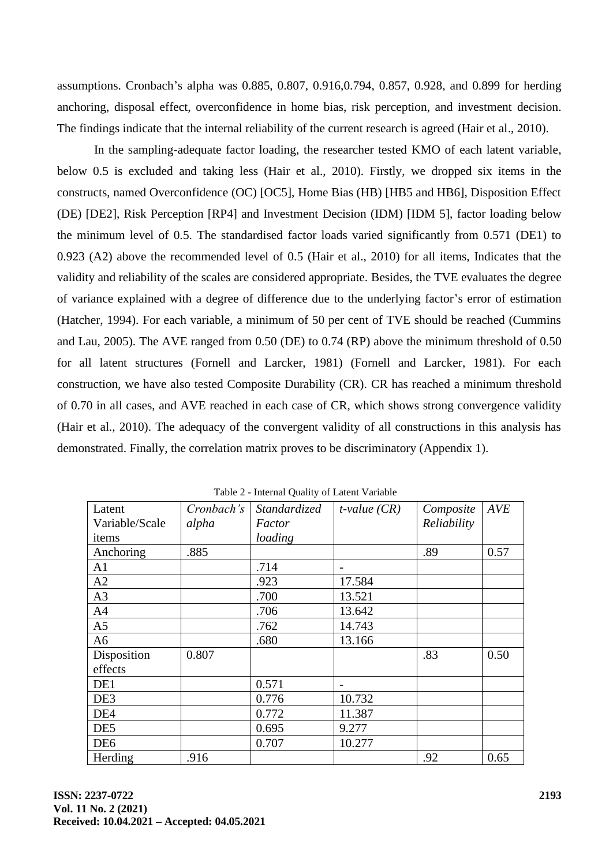assumptions. Cronbach's alpha was 0.885, 0.807, 0.916,0.794, 0.857, 0.928, and 0.899 for herding anchoring, disposal effect, overconfidence in home bias, risk perception, and investment decision. The findings indicate that the internal reliability of the current research is agreed (Hair et al., 2010).

In the sampling-adequate factor loading, the researcher tested KMO of each latent variable, below 0.5 is excluded and taking less (Hair et al., 2010). Firstly, we dropped six items in the constructs, named Overconfidence (OC) [OC5], Home Bias (HB) [HB5 and HB6], Disposition Effect (DE) [DE2], Risk Perception [RP4] and Investment Decision (IDM) [IDM 5], factor loading below the minimum level of 0.5. The standardised factor loads varied significantly from 0.571 (DE1) to 0.923 (A2) above the recommended level of 0.5 (Hair et al., 2010) for all items, Indicates that the validity and reliability of the scales are considered appropriate. Besides, the TVE evaluates the degree of variance explained with a degree of difference due to the underlying factor's error of estimation (Hatcher, 1994). For each variable, a minimum of 50 per cent of TVE should be reached (Cummins and Lau, 2005). The AVE ranged from 0.50 (DE) to 0.74 (RP) above the minimum threshold of 0.50 for all latent structures (Fornell and Larcker, 1981) (Fornell and Larcker, 1981). For each construction, we have also tested Composite Durability (CR). CR has reached a minimum threshold of 0.70 in all cases, and AVE reached in each case of CR, which shows strong convergence validity (Hair et al., 2010). The adequacy of the convergent validity of all constructions in this analysis has demonstrated. Finally, the correlation matrix proves to be discriminatory (Appendix 1).

| Latent          | Cronbach's | <i>Standardized</i> | $t$ -value $(CR)$ | Composite   | <b>AVE</b> |
|-----------------|------------|---------------------|-------------------|-------------|------------|
| Variable/Scale  | alpha      | Factor              |                   | Reliability |            |
| items           |            | loading             |                   |             |            |
| Anchoring       | .885       |                     |                   | .89         | 0.57       |
| A1              |            | .714                |                   |             |            |
| A2              |            | .923                | 17.584            |             |            |
| A3              |            | .700                | 13.521            |             |            |
| A4              |            | .706                | 13.642            |             |            |
| A <sub>5</sub>  |            | .762                | 14.743            |             |            |
| A <sub>6</sub>  |            | .680                | 13.166            |             |            |
| Disposition     | 0.807      |                     |                   | .83         | 0.50       |
| effects         |            |                     |                   |             |            |
| DE1             |            | 0.571               |                   |             |            |
| DE3             |            | 0.776               | 10.732            |             |            |
| DE <sub>4</sub> |            | 0.772               | 11.387            |             |            |
| DE5             |            | 0.695               | 9.277             |             |            |
| DE <sub>6</sub> |            | 0.707               | 10.277            |             |            |
| Herding         | .916       |                     |                   | .92         | 0.65       |

Table 2 - Internal Quality of Latent Variable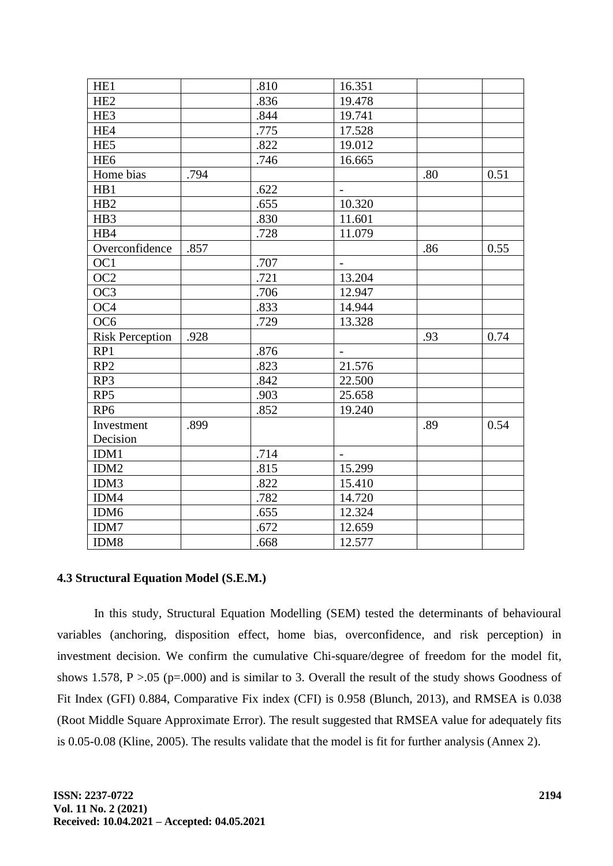| HE <sub>1</sub>        |      | .810 | 16.351                   |     |      |
|------------------------|------|------|--------------------------|-----|------|
| HE <sub>2</sub>        |      | .836 | 19.478                   |     |      |
| HE3                    |      | .844 | 19.741                   |     |      |
| HE4                    |      | .775 | 17.528                   |     |      |
| HE <sub>5</sub>        |      | .822 | 19.012                   |     |      |
| HE <sub>6</sub>        |      | .746 | 16.665                   |     |      |
| Home bias              | .794 |      |                          | .80 | 0.51 |
| HB1                    |      | .622 |                          |     |      |
| HB <sub>2</sub>        |      | .655 | 10.320                   |     |      |
| HB3                    |      | .830 | 11.601                   |     |      |
| HB4                    |      | .728 | 11.079                   |     |      |
| Overconfidence         | .857 |      |                          | .86 | 0.55 |
| OC1                    |      | .707 | $\overline{\phantom{a}}$ |     |      |
| OC2                    |      | .721 | 13.204                   |     |      |
| OC3                    |      | .706 | 12.947                   |     |      |
| OC <sub>4</sub>        |      | .833 | 14.944                   |     |      |
| OC <sub>6</sub>        |      | .729 | 13.328                   |     |      |
| <b>Risk Perception</b> | .928 |      |                          | .93 | 0.74 |
| RP1                    |      | .876 | $\overline{\phantom{a}}$ |     |      |
| RP <sub>2</sub>        |      | .823 | 21.576                   |     |      |
| RP3                    |      | .842 | 22.500                   |     |      |
| RP <sub>5</sub>        |      | .903 | 25.658                   |     |      |
| RP <sub>6</sub>        |      | .852 | 19.240                   |     |      |
| Investment             | .899 |      |                          | .89 | 0.54 |
| Decision               |      |      |                          |     |      |
| IDM1                   |      | .714 | $\blacksquare$           |     |      |
| IDM2                   |      | .815 | 15.299                   |     |      |
| IDM3                   |      | .822 | 15.410                   |     |      |
| IDM4                   |      | .782 | 14.720                   |     |      |
| IDM <sub>6</sub>       |      | .655 | 12.324                   |     |      |
| IDM7                   |      | .672 | 12.659                   |     |      |
| IDM8                   |      | .668 | 12.577                   |     |      |

### **4.3 Structural Equation Model (S.E.M.)**

In this study, Structural Equation Modelling (SEM) tested the determinants of behavioural variables (anchoring, disposition effect, home bias, overconfidence, and risk perception) in investment decision. We confirm the cumulative Chi-square/degree of freedom for the model fit, shows 1.578,  $P > 0.05$  (p=.000) and is similar to 3. Overall the result of the study shows Goodness of Fit Index (GFI) 0.884, Comparative Fix index (CFI) is 0.958 (Blunch, 2013), and RMSEA is 0.038 (Root Middle Square Approximate Error). The result suggested that RMSEA value for adequately fits is 0.05-0.08 (Kline, 2005). The results validate that the model is fit for further analysis (Annex 2).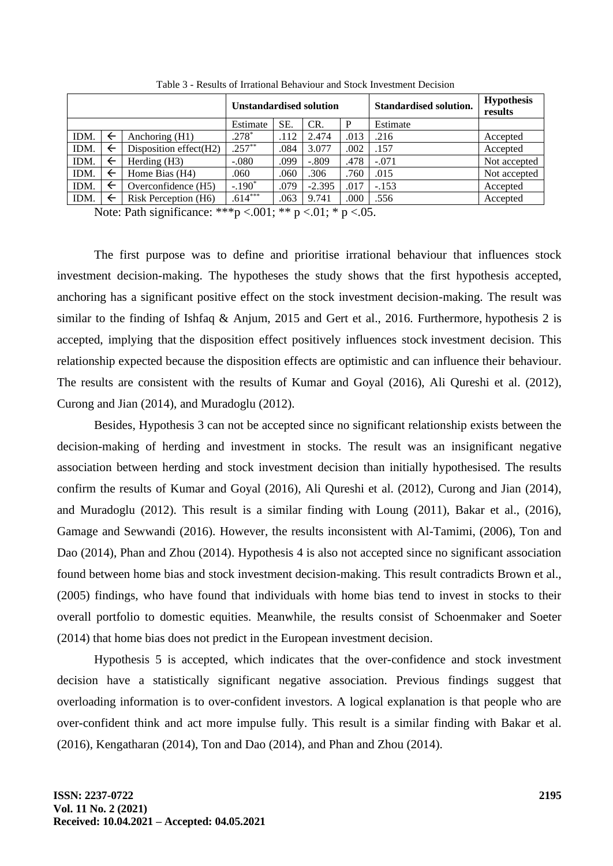|      | <b>Unstandardised solution</b> |                        |           |      | <b>Standardised solution.</b> | <b>Hypothesis</b><br>results |         |              |
|------|--------------------------------|------------------------|-----------|------|-------------------------------|------------------------------|---------|--------------|
|      |                                | Estimate               | SE.       | CR.  | P                             | Estimate                     |         |              |
| IDM. | $\leftarrow$                   | Anchoring $(H1)$       | $.278*$   | .112 | 2.474                         | .013                         | .216    | Accepted     |
| IDM. | ←                              | Disposition effect(H2) | $.257**$  | .084 | 3.077                         | .002                         | .157    | Accepted     |
| IDM. | ←                              | Herding $(H3)$         | $-.080$   | .099 | $-.809$                       | .478                         | $-.071$ | Not accepted |
| IDM. | ←                              | Home Bias (H4)         | .060      | .060 | .306                          | .760                         | .015    | Not accepted |
| IDM. | ←                              | Overconfidence (H5)    | $-.190*$  | .079 | $-2.395$                      | .017                         | $-.153$ | Accepted     |
| IDM. | ←                              | Risk Perception (H6)   | $.614***$ | .063 | 9.741                         | .000                         | .556    | Accepted     |
|      |                                |                        |           |      |                               |                              |         |              |

Table 3 - Results of Irrational Behaviour and Stock Investment Decision

Note: Path significance: \*\*\*p <.001; \*\* p <.01; \* p <.05.

The first purpose was to define and prioritise irrational behaviour that influences stock investment decision-making. The hypotheses the study shows that the first hypothesis accepted, anchoring has a significant positive effect on the stock investment decision-making. The result was similar to the finding of Ishfaq & Anjum, 2015 and Gert et al., 2016. Furthermore, hypothesis 2 is accepted, implying that the disposition effect positively influences stock investment decision. This relationship expected because the disposition effects are optimistic and can influence their behaviour. The results are consistent with the results of Kumar and Goyal (2016), Ali Qureshi et al. (2012), Curong and Jian (2014), and Muradoglu (2012).

Besides, Hypothesis 3 can not be accepted since no significant relationship exists between the decision-making of herding and investment in stocks. The result was an insignificant negative association between herding and stock investment decision than initially hypothesised. The results confirm the results of Kumar and Goyal (2016), Ali Qureshi et al. (2012), Curong and Jian (2014), and Muradoglu (2012). This result is a similar finding with Loung (2011), Bakar et al., (2016), Gamage and Sewwandi (2016). However, the results inconsistent with Al-Tamimi, (2006), Ton and Dao (2014), Phan and Zhou (2014). Hypothesis 4 is also not accepted since no significant association found between home bias and stock investment decision-making. This result contradicts Brown et al., (2005) findings, who have found that individuals with home bias tend to invest in stocks to their overall portfolio to domestic equities. Meanwhile, the results consist of Schoenmaker and Soeter (2014) that home bias does not predict in the European investment decision.

Hypothesis 5 is accepted, which indicates that the over-confidence and stock investment decision have a statistically significant negative association. Previous findings suggest that overloading information is to over-confident investors. A logical explanation is that people who are over-confident think and act more impulse fully. This result is a similar finding with Bakar et al. (2016), Kengatharan (2014), Ton and Dao (2014), and Phan and Zhou (2014).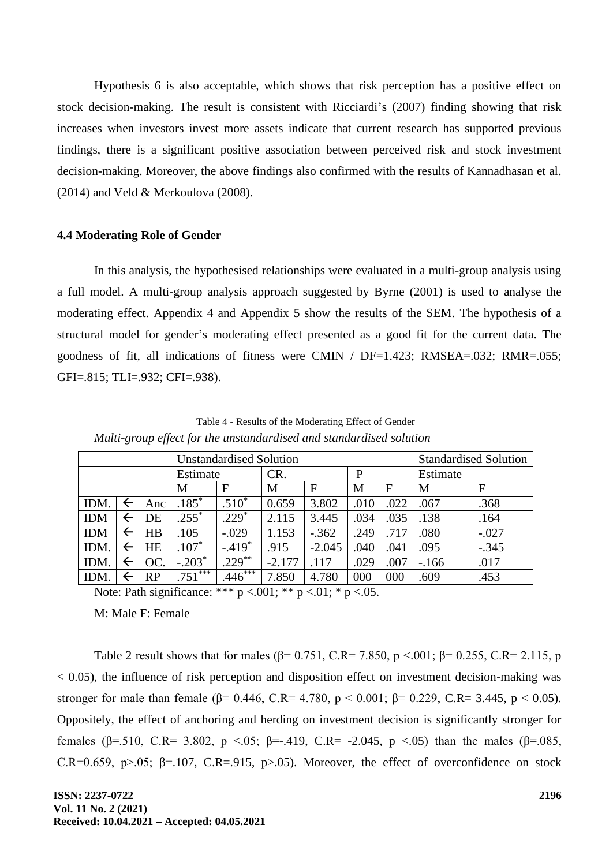Hypothesis 6 is also acceptable, which shows that risk perception has a positive effect on stock decision-making. The result is consistent with Ricciardi's (2007) finding showing that risk increases when investors invest more assets indicate that current research has supported previous findings, there is a significant positive association between perceived risk and stock investment decision-making. Moreover, the above findings also confirmed with the results of Kannadhasan et al.  $(2014)$  and Veld & Merkoulova  $(2008)$ .

#### **4.4 Moderating Role of Gender**

In this analysis, the hypothesised relationships were evaluated in a multi-group analysis using a full model. A multi-group analysis approach suggested by Byrne (2001) is used to analyse the moderating effect. Appendix 4 and Appendix 5 show the results of the SEM. The hypothesis of a structural model for gender's moderating effect presented as a good fit for the current data. The goodness of fit, all indications of fitness were CMIN / DF=1.423; RMSEA=.032; RMR=.055; GFI=.815; TLI=.932; CFI=.938).

Table 4 - Results of the Moderating Effect of Gender *Multi-group effect for the unstandardised and standardised solution*

| <b>Unstandardised Solution</b> |              |           |                                |            |          | <b>Standardised Solution</b> |      |          |              |         |
|--------------------------------|--------------|-----------|--------------------------------|------------|----------|------------------------------|------|----------|--------------|---------|
|                                |              | Estimate  |                                | CR.        |          | P                            |      | Estimate |              |         |
|                                |              | М         | F                              | M          | F        | M                            | F    | M        | $\mathbf{F}$ |         |
| IDM.                           | $\leftarrow$ | Anc       | $\overline{.1}85$ <sup>*</sup> | $.510*$    | 0.659    | 3.802                        | .010 | .022     | .067         | .368    |
| <b>IDM</b>                     | $\leftarrow$ | DE        | $.255*$                        | $.229*$    | 2.115    | 3.445                        | .034 | .035     | .138         | .164    |
| <b>IDM</b>                     | $\leftarrow$ | HB        | .105                           | $-.029$    | 1.153    | $-.362$                      | .249 | .717     | .080         | $-.027$ |
| IDM.                           | $\leftarrow$ | <b>HE</b> | $.107*$                        | $-419$ *   | .915     | $-2.045$                     | .040 | .041     | .095         | $-.345$ |
| IDM.                           | $\leftarrow$ | OC.       | $-.203*$                       | $229^{**}$ | $-2.177$ | .117                         | .029 | .007     | $-166$       | .017    |
| IDM.                           | ←            | RP        | $.751***$                      | $.446***$  | 7.850    | 4.780                        | 000  | 000      | .609         | .453    |

Note: Path significance: \*\*\*  $p < .001$ ; \*\*  $p < .01$ ; \*  $p < .05$ .

M: Male F: Female

Table 2 result shows that for males ( $\beta$ = 0.751, C.R= 7.850, p <.001;  $\beta$ = 0.255, C.R= 2.115, p  $< 0.05$ ), the influence of risk perception and disposition effect on investment decision-making was stronger for male than female ( $\beta$ = 0.446, C.R= 4.780, p < 0.001;  $\beta$ = 0.229, C.R= 3.445, p < 0.05). Oppositely, the effect of anchoring and herding on investment decision is significantly stronger for females (β=.510, C.R= 3.802, p <.05; β=-.419, C.R= -2.045, p <.05) than the males (β=.085, C.R=0.659, p>.05;  $\beta$ =.107, C.R=.915, p>.05). Moreover, the effect of overconfidence on stock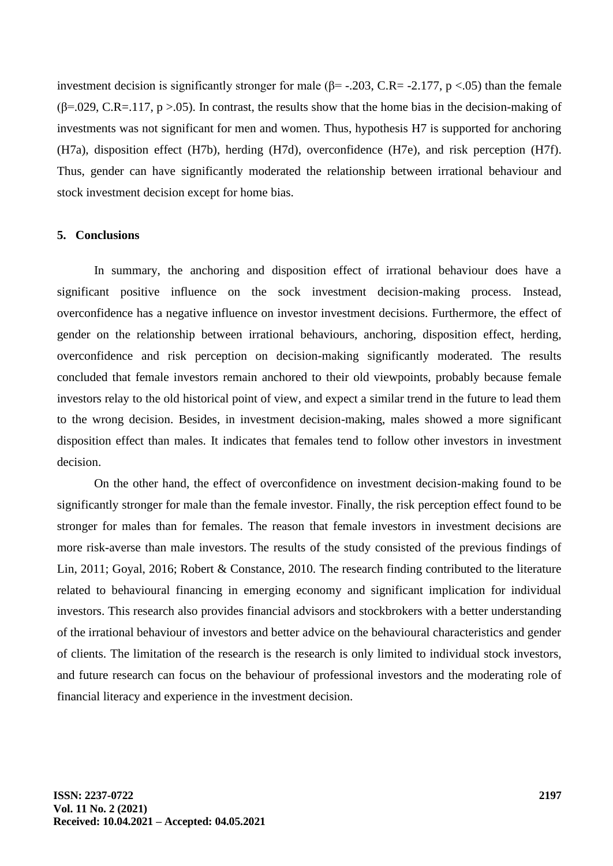investment decision is significantly stronger for male ( $\beta$ = -.203, C.R= -2.177, p <.05) than the female  $(\beta = 0.029, C.R = .117, p > .05)$ . In contrast, the results show that the home bias in the decision-making of investments was not significant for men and women. Thus, hypothesis H7 is supported for anchoring (H7a), disposition effect (H7b), herding (H7d), overconfidence (H7e), and risk perception (H7f). Thus, gender can have significantly moderated the relationship between irrational behaviour and stock investment decision except for home bias.

#### **5. Conclusions**

In summary, the anchoring and disposition effect of irrational behaviour does have a significant positive influence on the sock investment decision-making process. Instead, overconfidence has a negative influence on investor investment decisions. Furthermore, the effect of gender on the relationship between irrational behaviours, anchoring, disposition effect, herding, overconfidence and risk perception on decision-making significantly moderated. The results concluded that female investors remain anchored to their old viewpoints, probably because female investors relay to the old historical point of view, and expect a similar trend in the future to lead them to the wrong decision. Besides, in investment decision-making, males showed a more significant disposition effect than males. It indicates that females tend to follow other investors in investment decision.

On the other hand, the effect of overconfidence on investment decision-making found to be significantly stronger for male than the female investor. Finally, the risk perception effect found to be stronger for males than for females. The reason that female investors in investment decisions are more risk-averse than male investors. The results of the study consisted of the previous findings of Lin, 2011; Goyal, 2016; Robert & Constance, 2010. The research finding contributed to the literature related to behavioural financing in emerging economy and significant implication for individual investors. This research also provides financial advisors and stockbrokers with a better understanding of the irrational behaviour of investors and better advice on the behavioural characteristics and gender of clients. The limitation of the research is the research is only limited to individual stock investors, and future research can focus on the behaviour of professional investors and the moderating role of financial literacy and experience in the investment decision.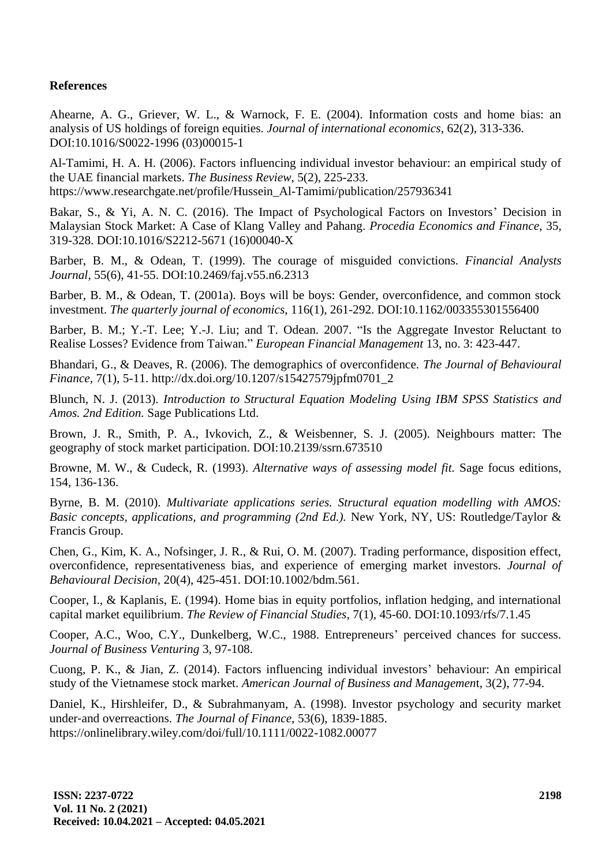# **References**

Ahearne, A. G., Griever, W. L., & Warnock, F. E. (2004). Information costs and home bias: an analysis of US holdings of foreign equities. *Journal of international economics*, 62(2), 313-336. DOI:10.1016/S0022-1996 (03)00015-1

Al-Tamimi, H. A. H. (2006). Factors influencing individual investor behaviour: an empirical study of the UAE financial markets. *The Business Review*, 5(2), 225-233. https://www.researchgate.net/profile/Hussein\_Al-Tamimi/publication/257936341

Bakar, S., & Yi, A. N. C. (2016). The Impact of Psychological Factors on Investors' Decision in Malaysian Stock Market: A Case of Klang Valley and Pahang. *Procedia Economics and Finance*, 35, 319-328. DOI:10.1016/S2212-5671 (16)00040-X

Barber, B. M., & Odean, T. (1999). The courage of misguided convictions. *Financial Analysts Journal*, 55(6), 41-55. DOI:10.2469/faj.v55.n6.2313

Barber, B. M., & Odean, T. (2001a). Boys will be boys: Gender, overconfidence, and common stock investment. *The quarterly journal of economics*, 116(1), 261-292. DOI:10.1162/003355301556400

Barber, B. M.; Y.-T. Lee; Y.-J. Liu; and T. Odean. 2007. "Is the Aggregate Investor Reluctant to Realise Losses? Evidence from Taiwan." *European Financial Management* 13, no. 3: 423-447.

Bhandari, G., & Deaves, R. (2006). The demographics of overconfidence. *The Journal of Behavioural Finance*, 7(1), 5-11. http://dx.doi.org/10.1207/s15427579jpfm0701\_2

Blunch, N. J. (2013). *Introduction to Structural Equation Modeling Using IBM SPSS Statistics and Amos. 2nd Edition.* Sage Publications Ltd.

Brown, J. R., Smith, P. A., Ivkovich, Z., & Weisbenner, S. J. (2005). Neighbours matter: The geography of stock market participation. DOI:10.2139/ssrn.673510

Browne, M. W., & Cudeck, R. (1993). *Alternative ways of assessing model fit.* Sage focus editions, 154, 136-136.

Byrne, B. M. (2010). *Multivariate applications series. Structural equation modelling with AMOS:*  Basic concepts, applications, and programming (2nd Ed.). New York, NY, US: Routledge/Taylor & Francis Group.

Chen, G., Kim, K. A., Nofsinger, J. R., & Rui, O. M. (2007). Trading performance, disposition effect, overconfidence, representativeness bias, and experience of emerging market investors. *Journal of Behavioural Decision,* 20(4), 425-451. [DOI:10.1002/bdm.561.](https://doi.org/10.1002/bdm.561)

Cooper, I., & Kaplanis, E. (1994). Home bias in equity portfolios, inflation hedging, and international capital market equilibrium. *The Review of Financial Studies*, 7(1), 45-60. DOI:10.1093/rfs/7.1.45

Cooper, A.C., Woo, C.Y., Dunkelberg, W.C., 1988. Entrepreneurs' perceived chances for success. *Journal of Business Venturing* 3, 97-108.

Cuong, P. K., & Jian, Z. (2014). Factors influencing individual investors' behaviour: An empirical study of the Vietnamese stock market. *American Journal of Business and Managemen*t, 3(2), 77-94.

Daniel, K., Hirshleifer, D., & Subrahmanyam, A. (1998). Investor psychology and security market under‐and overreactions. *The Journal of Finance*, 53(6), 1839-1885. https://onlinelibrary.wiley.com/doi/full/10.1111/0022-1082.00077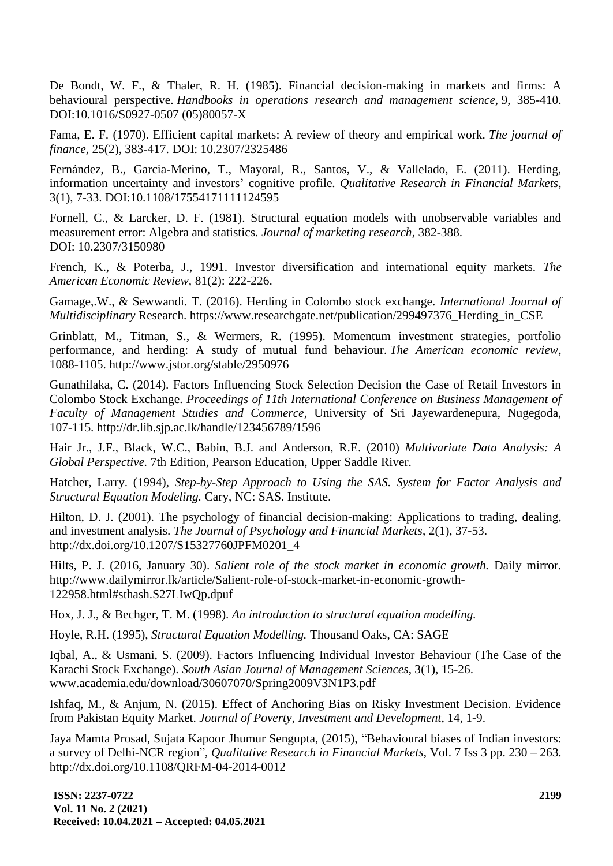De Bondt, W. F., & Thaler, R. H. (1985). Financial decision-making in markets and firms: A behavioural perspective. *Handbooks in operations research and management science*, 9, 385-410. DOI:10.1016/S0927-0507 (05)80057-X

Fama, E. F. (1970). Efficient capital markets: A review of theory and empirical work. *The journal of finance*, 25(2), 383-417. DOI: 10.2307/2325486

Fernández, B., Garcia-Merino, T., Mayoral, R., Santos, V., & Vallelado, E. (2011). Herding, information uncertainty and investors' cognitive profile. *Qualitative Research in Financial Markets*, 3(1), 7-33. DOI:10.1108/17554171111124595

Fornell, C., & Larcker, D. F. (1981). Structural equation models with unobservable variables and measurement error: Algebra and statistics. *Journal of marketing research*, 382-388. DOI: 10.2307/3150980

French, K., & Poterba, J., 1991. Investor diversification and international equity markets. *The American Economic Review,* 81(2): 222-226.

Gamage,.W., & Sewwandi. T. (2016). Herding in Colombo stock exchange. *International Journal of Multidisciplinary* Research. https://www.researchgate.net/publication/299497376\_Herding\_in\_CSE

Grinblatt, M., Titman, S., & Wermers, R. (1995). Momentum investment strategies, portfolio performance, and herding: A study of mutual fund behaviour. *The American economic review*, 1088-1105. http://www.jstor.org/stable/2950976

Gunathilaka, C. (2014). Factors Influencing Stock Selection Decision the Case of Retail Investors in Colombo Stock Exchange. *Proceedings of 11th International Conference on Business Management of Faculty of Management Studies and Commerce*, University of Sri Jayewardenepura, Nugegoda, 107-115.<http://dr.lib.sjp.ac.lk/handle/123456789/1596>

Hair Jr., J.F., Black, W.C., Babin, B.J. and Anderson, R.E. (2010) *Multivariate Data Analysis: A Global Perspective.* 7th Edition, Pearson Education, Upper Saddle River.

Hatcher, Larry. (1994), *Step-by-Step Approach to Using the SAS. System for Factor Analysis and Structural Equation Modeling.* Cary, NC: SAS. Institute.

Hilton, D. J. (2001). The psychology of financial decision-making: Applications to trading, dealing, and investment analysis. *The Journal of Psychology and Financial Markets*, 2(1), 37-53. http://dx.doi.org/10.1207/S15327760JPFM0201\_4

Hilts, P. J. (2016, January 30). *Salient role of the stock market in economic growth.* Daily mirror. [http://www.dailymirror.lk/article/Salient-role-of-stock-market-in-economic-growth-](http://www.dailymirror.lk/article/Salient-role-of-stock-market-in-economic-growth-122958.html#sthash.S27LIwQp.dpuf)[122958.html#sthash.S27LIwQp.dpuf](http://www.dailymirror.lk/article/Salient-role-of-stock-market-in-economic-growth-122958.html#sthash.S27LIwQp.dpuf)

Hox, J. J., & Bechger, T. M. (1998). *An introduction to structural equation modelling.*

Hoyle, R.H. (1995), *Structural Equation Modelling.* Thousand Oaks, CA: SAGE

Iqbal, A., & Usmani, S. (2009). Factors Influencing Individual Investor Behaviour (The Case of the Karachi Stock Exchange). *South Asian Journal of Management Sciences*, 3(1), 15-26. www.academia.edu/download/30607070/Spring2009V3N1P3.pdf

Ishfaq, M., & Anjum, N. (2015). Effect of Anchoring Bias on Risky Investment Decision. Evidence from Pakistan Equity Market. *Journal of Poverty, Investment and Development*, 14, 1-9.

Jaya Mamta Prosad, Sujata Kapoor Jhumur Sengupta, (2015), "Behavioural biases of Indian investors: a survey of Delhi-NCR region", *Qualitative Research in Financial Markets*, Vol. 7 Iss 3 pp. 230 – 263. http://dx.doi.org/10.1108/QRFM-04-2014-0012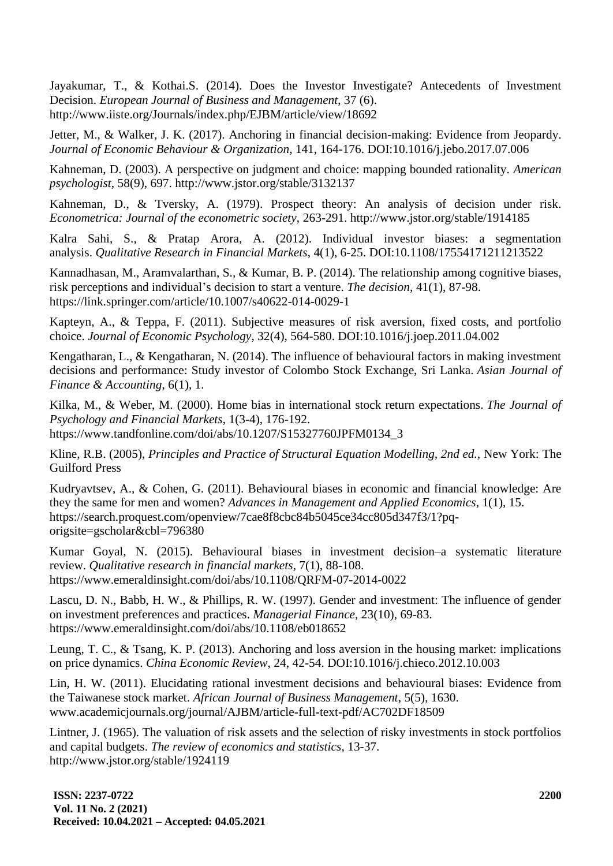Jayakumar, T., & Kothai.S. (2014). Does the Investor Investigate? Antecedents of Investment Decision. *European Journal of Business and Management*, 37 (6). http://www.iiste.org/Journals/index.php/EJBM/article/view/18692

Jetter, M., & Walker, J. K. (2017). Anchoring in financial decision-making: Evidence from Jeopardy. *Journal of Economic Behaviour & Organization*, 141, 164-176. DOI:10.1016/j.jebo.2017.07.006

Kahneman, D. (2003). A perspective on judgment and choice: mapping bounded rationality. *American psychologist*, 58(9), 697. http://www.jstor.org/stable/3132137

Kahneman, D., & Tversky, A. (1979). Prospect theory: An analysis of decision under risk. *Econometrica: Journal of the econometric society*, 263-291. http://www.jstor.org/stable/1914185

Kalra Sahi, S., & Pratap Arora, A. (2012). Individual investor biases: a segmentation analysis. *Qualitative Research in Financial Markets*, 4(1), 6-25. DOI:10.1108/17554171211213522

Kannadhasan, M., Aramvalarthan, S., & Kumar, B. P. (2014). The relationship among cognitive biases, risk perceptions and individual's decision to start a venture. *The decision,* 41(1), 87-98. https://link.springer.com/article/10.1007/s40622-014-0029-1

Kapteyn, A., & Teppa, F. (2011). Subjective measures of risk aversion, fixed costs, and portfolio choice. *Journal of Economic Psychology*, 32(4), 564-580. DOI:10.1016/j.joep.2011.04.002

Kengatharan, L., & Kengatharan, N. (2014). The influence of behavioural factors in making investment decisions and performance: Study investor of Colombo Stock Exchange, Sri Lanka. *Asian Journal of Finance & Accounting*, 6(1), 1.

Kilka, M., & Weber, M. (2000). Home bias in international stock return expectations. *The Journal of Psychology and Financial Markets*, 1(3-4), 176-192. https://www.tandfonline.com/doi/abs/10.1207/S15327760JPFM0134\_3

Kline, R.B. (2005), *Principles and Practice of Structural Equation Modelling, 2nd ed.,* New York: The Guilford Press

Kudryavtsev, A., & Cohen, G. (2011). Behavioural biases in economic and financial knowledge: Are they the same for men and women? *Advances in Management and Applied Economics*, 1(1), 15. https://search.proquest.com/openview/7cae8f8cbc84b5045ce34cc805d347f3/1?pqorigsite=gscholar&cbl=796380

Kumar Goyal, N. (2015). Behavioural biases in investment decision–a systematic literature review. *Qualitative research in financial markets*, 7(1), 88-108. https://www.emeraldinsight.com/doi/abs/10.1108/QRFM-07-2014-0022

Lascu, D. N., Babb, H. W., & Phillips, R. W. (1997). Gender and investment: The influence of gender on investment preferences and practices. *Managerial Finance*, 23(10), 69-83. https://www.emeraldinsight.com/doi/abs/10.1108/eb018652

Leung, T. C., & Tsang, K. P. (2013). Anchoring and loss aversion in the housing market: implications on price dynamics. *China Economic Review*, 24, 42-54. DOI:10.1016/j.chieco.2012.10.003

Lin, H. W. (2011). Elucidating rational investment decisions and behavioural biases: Evidence from the Taiwanese stock market. *African Journal of Business Management*, 5(5), 1630. www.academicjournals.org/journal/AJBM/article-full-text-pdf/AC702DF18509

Lintner, J. (1965). The valuation of risk assets and the selection of risky investments in stock portfolios and capital budgets. *The review of economics and statistics*, 13-37. http://www.jstor.org/stable/1924119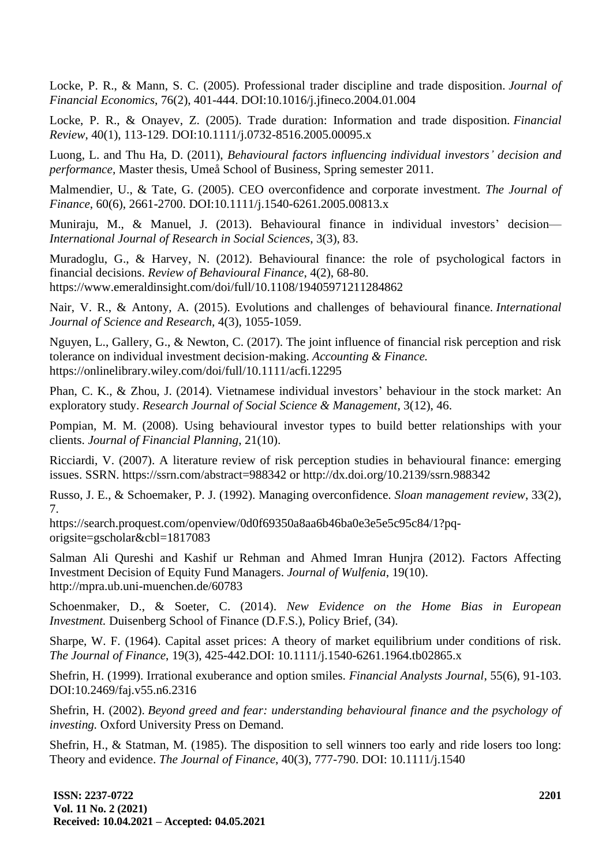Locke, P. R., & Mann, S. C. (2005). Professional trader discipline and trade disposition. *Journal of Financial Economics*, 76(2), 401-444. DOI:10.1016/j.jfineco.2004.01.004

Locke, P. R., & Onayev, Z. (2005). Trade duration: Information and trade disposition. *Financial Review*, 40(1), 113-129. DOI:10.1111/j.0732-8516.2005.00095.x

Luong, L. and Thu Ha, D. (2011), *Behavioural factors influencing individual investors' decision and performance,* Master thesis, Umeå School of Business, Spring semester 2011.

Malmendier, U., & Tate, G. (2005). CEO overconfidence and corporate investment. *The Journal of Finance*, 60(6), 2661-2700. DOI:10.1111/j.1540-6261.2005.00813.x

Muniraju, M., & Manuel, J. (2013). Behavioural finance in individual investors' decision— *International Journal of Research in Social Sciences*, 3(3), 83.

Muradoglu, G., & Harvey, N. (2012). Behavioural finance: the role of psychological factors in financial decisions. *Review of Behavioural Finance*, 4(2), 68-80. <https://www.emeraldinsight.com/doi/full/10.1108/19405971211284862>

Nair, V. R., & Antony, A. (2015). Evolutions and challenges of behavioural finance. *International Journal of Science and Research,* 4(3), 1055-1059.

Nguyen, L., Gallery, G., & Newton, C. (2017). The joint influence of financial risk perception and risk tolerance on individual investment decision‐making. *Accounting & Finance.* https://onlinelibrary.wiley.com/doi/full/10.1111/acfi.12295

Phan, C. K., & Zhou, J. (2014). Vietnamese individual investors' behaviour in the stock market: An exploratory study. *Research Journal of Social Science & Management*, 3(12), 46.

Pompian, M. M. (2008). Using behavioural investor types to build better relationships with your clients. *Journal of Financial Planning*, 21(10).

Ricciardi, V. (2007). A literature review of risk perception studies in behavioural finance: emerging issues. SSRN. https://ssrn.com/abstract=988342 or <http://dx.doi.org/10.2139/ssrn.988342>

Russo, J. E., & Schoemaker, P. J. (1992). Managing overconfidence. *Sloan management review*, 33(2), 7.

https://search.proquest.com/openview/0d0f69350a8aa6b46ba0e3e5e5c95c84/1?pqorigsite=gscholar&cbl=1817083

Salman Ali Qureshi and Kashif ur Rehman and Ahmed Imran Hunjra (2012). Factors Affecting Investment Decision of Equity Fund Managers. *Journal of Wulfenia*, 19(10). http://mpra.ub.uni-muenchen.de/60783

Schoenmaker, D., & Soeter, C. (2014). *New Evidence on the Home Bias in European Investment.* Duisenberg School of Finance (D.F.S.), Policy Brief, (34).

Sharpe, W. F. (1964). Capital asset prices: A theory of market equilibrium under conditions of risk. *The Journal of Finance*, 19(3), 425-442.DOI: 10.1111/j.1540-6261.1964.tb02865.x

Shefrin, H. (1999). Irrational exuberance and option smiles. *Financial Analysts Journal*, 55(6), 91-103. DOI:10.2469/faj.v55.n6.2316

Shefrin, H. (2002). *Beyond greed and fear: understanding behavioural finance and the psychology of investing.* Oxford University Press on Demand.

Shefrin, H., & Statman, M. (1985). The disposition to sell winners too early and ride losers too long: Theory and evidence. *The Journal of Finance*, 40(3), 777-790. DOI: 10.1111/j.1540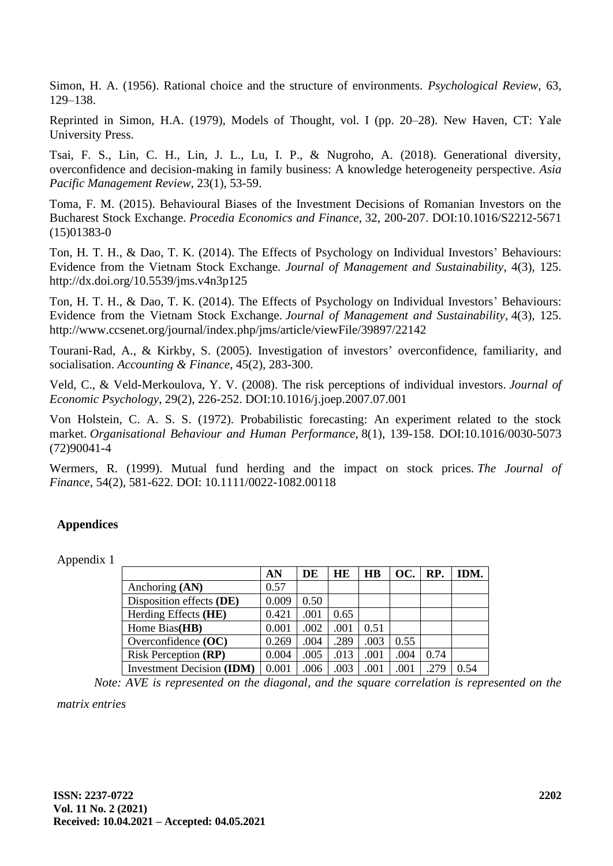Simon, H. A. (1956). Rational choice and the structure of environments. *Psychological Review,* 63, 129–138.

Reprinted in Simon, H.A. (1979), Models of Thought, vol. I (pp. 20–28). New Haven, CT: Yale University Press.

Tsai, F. S., Lin, C. H., Lin, J. L., Lu, I. P., & Nugroho, A. (2018). Generational diversity, overconfidence and decision-making in family business: A knowledge heterogeneity perspective. *Asia Pacific Management Review,* 23(1), 53-59.

Toma, F. M. (2015). Behavioural Biases of the Investment Decisions of Romanian Investors on the Bucharest Stock Exchange. *Procedia Economics and Finance*, 32, 200-207. DOI:10.1016/S2212-5671 (15)01383-0

Ton, H. T. H., & Dao, T. K. (2014). The Effects of Psychology on Individual Investors' Behaviours: Evidence from the Vietnam Stock Exchange. *Journal of Management and Sustainability*, 4(3), 125. http://dx.doi.org/10.5539/jms.v4n3p125

Ton, H. T. H., & Dao, T. K. (2014). The Effects of Psychology on Individual Investors' Behaviours: Evidence from the Vietnam Stock Exchange. *Journal of Management and Sustainability*, 4(3), 125. http://www.ccsenet.org/journal/index.php/jms/article/viewFile/39897/22142

Tourani‐Rad, A., & Kirkby, S. (2005). Investigation of investors' overconfidence, familiarity, and socialisation. *Accounting & Finance*, 45(2), 283-300.

Veld, C., & Veld-Merkoulova, Y. V. (2008). The risk perceptions of individual investors. *Journal of Economic Psychology*, 29(2), 226-252. DOI:10.1016/j.joep.2007.07.001

Von Holstein, C. A. S. S. (1972). Probabilistic forecasting: An experiment related to the stock market. *Organisational Behaviour and Human Performance*, 8(1), 139-158. DOI:10.1016/0030-5073 (72)90041-4

Wermers, R. (1999). Mutual fund herding and the impact on stock prices*. The Journal of Finance*, 54(2), 581-622. DOI: 10.1111/0022-1082.00118

# **Appendices**

Appendix 1

|                                  | AN    | DE   | HE   | $\overline{H}$ | OC.  | RP.  | IDM. |
|----------------------------------|-------|------|------|----------------|------|------|------|
| Anchoring (AN)                   | 0.57  |      |      |                |      |      |      |
| Disposition effects (DE)         | 0.009 | 0.50 |      |                |      |      |      |
| Herding Effects (HE)             | 0.421 | .001 | 0.65 |                |      |      |      |
| Home Bias(HB)                    | 0.001 | .002 | .001 | 0.51           |      |      |      |
| Overconfidence $(OC)$            | 0.269 | .004 | .289 | .003           | 0.55 |      |      |
| <b>Risk Perception (RP)</b>      | 0.004 | .005 | .013 | .001           | .004 | 0.74 |      |
| <b>Investment Decision (IDM)</b> | 0.001 | .006 | .003 | .001           | .001 | .279 | 0 54 |

*Note: AVE is represented on the diagonal, and the square correlation is represented on the* 

*matrix entries*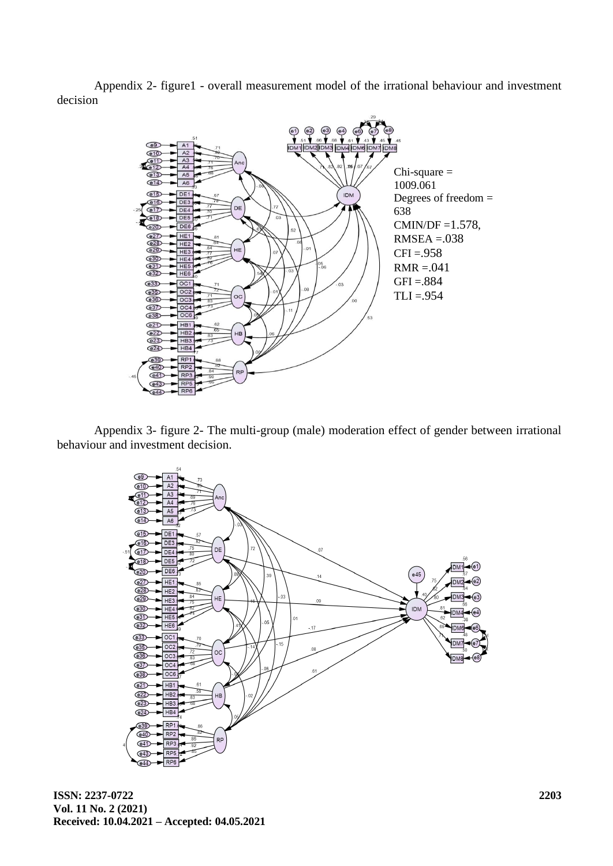Appendix 2- figure1 - overall measurement model of the irrational behaviour and investment decision



Appendix 3- figure 2- The multi-group (male) moderation effect of gender between irrational behaviour and investment decision.



**ISSN: 2237-0722 Vol. 11 No. 2 (2021) Received: 10.04.2021 – Accepted: 04.05.2021**